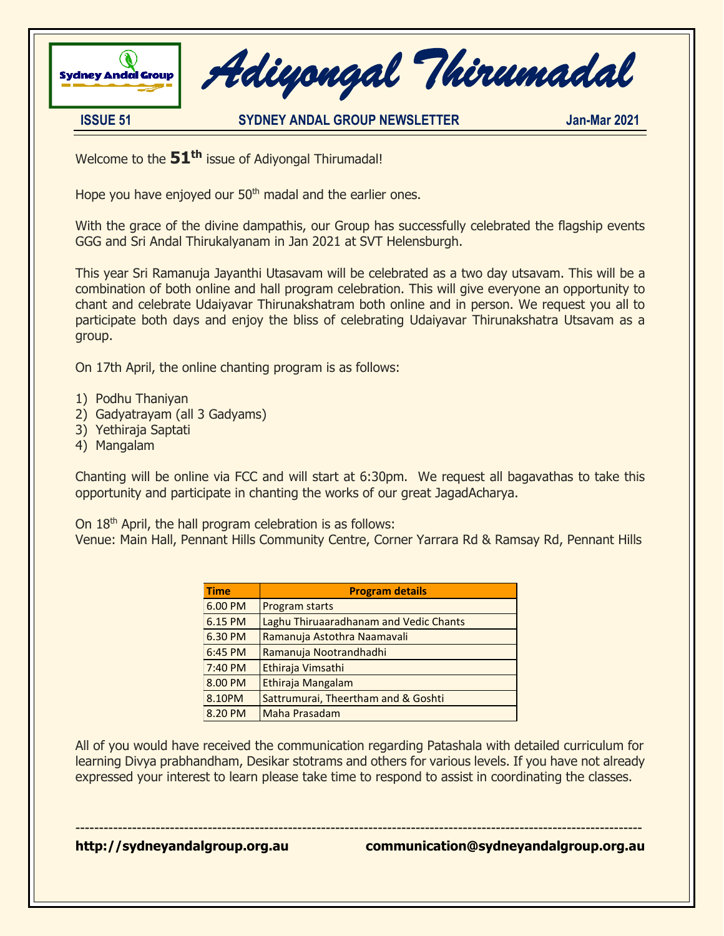

 *Adiyongal Thirumadal* 

**ISSUE 51 SYDNEY ANDAL GROUP NEWSLETTER Jan-Mar 2021**

Welcome to the **51 th** issue of Adiyongal Thirumadal!

Hope you have enjoyed our 50<sup>th</sup> madal and the earlier ones.

With the grace of the divine dampathis, our Group has successfully celebrated the flagship events GGG and Sri Andal Thirukalyanam in Jan 2021 at SVT Helensburgh.

This year Sri Ramanuja Jayanthi Utasavam will be celebrated as a two day utsavam. This will be a combination of both online and hall program celebration. This will give everyone an opportunity to chant and celebrate Udaiyavar Thirunakshatram both online and in person. We request you all to participate both days and enjoy the bliss of celebrating Udaiyavar Thirunakshatra Utsavam as a group.

On 17th April, the online chanting program is as follows:

- 1) Podhu Thaniyan
- 2) Gadyatrayam (all 3 Gadyams)
- 3) Yethiraja Saptati
- 4) Mangalam

Chanting will be online via FCC and will start at 6:30pm. We request all bagavathas to take this opportunity and participate in chanting the works of our great JagadAcharya.

On 18th April, the hall program celebration is as follows:

Venue: Main Hall, Pennant Hills Community Centre, Corner Yarrara Rd & Ramsay Rd, Pennant Hills

| <b>Time</b> | <b>Program details</b>                 |
|-------------|----------------------------------------|
| 6.00 PM     | Program starts                         |
| 6.15 PM     | Laghu Thiruaaradhanam and Vedic Chants |
| 6.30 PM     | Ramanuja Astothra Naamavali            |
| 6:45 PM     | Ramanuja Nootrandhadhi                 |
| 7:40 PM     | Ethiraja Vimsathi                      |
| 8.00 PM     | Ethiraja Mangalam                      |
| 8.10PM      | Sattrumurai, Theertham and & Goshti    |
| 8.20 PM     | Maha Prasadam                          |

All of you would have received the communication regarding Patashala with detailed curriculum for learning Divya prabhandham, Desikar stotrams and others for various levels. If you have not already expressed your interest to learn please take time to respond to assist in coordinating the classes.

------------------------------------------------------------------------------------------------------------------------

**http://sydneyandalgroup.org.au communication@sydneyandalgroup.org.au**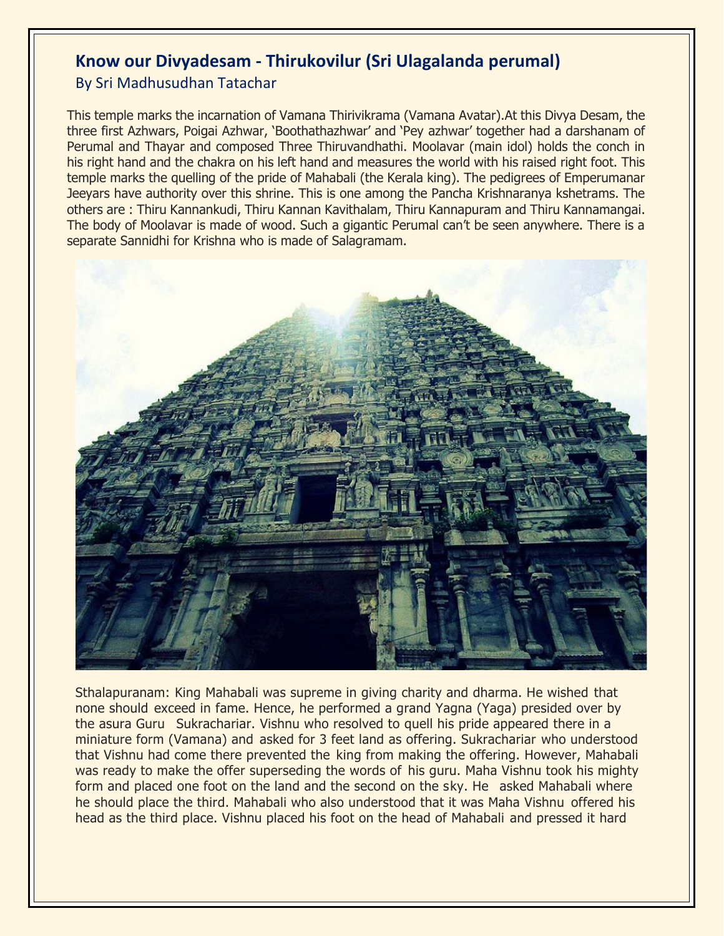## **Know our Divyadesam - Thirukovilur (Sri Ulagalanda perumal)**

By Sri Madhusudhan Tatachar

This temple marks the incarnation of Vamana Thirivikrama (Vamana Avatar).At this Divya Desam, the three first Azhwars, Poigai Azhwar, 'Boothathazhwar' and 'Pey azhwar' together had a darshanam of Perumal and Thayar and composed Three Thiruvandhathi. Moolavar (main idol) holds the conch in his right hand and the chakra on his left hand and measures the world with his raised right foot. This temple marks the quelling of the pride of Mahabali (the Kerala king). The pedigrees of Emperumanar Jeeyars have authority over this shrine. This is one among the Pancha Krishnaranya kshetrams. The others are : Thiru Kannankudi, Thiru Kannan Kavithalam, Thiru Kannapuram and Thiru Kannamangai. The body of Moolavar is made of wood. Such a gigantic Perumal can't be seen anywhere. There is a separate Sannidhi for Krishna who is made of Salagramam.



Sthalapuranam: King Mahabali was supreme in giving charity and dharma. He wished that none should exceed in fame. Hence, he performed a grand Yagna (Yaga) presided over by the asura Guru Sukrachariar. Vishnu who resolved to quell his pride appeared there in a miniature form (Vamana) and asked for 3 feet land as offering. Sukrachariar who understood that Vishnu had come there prevented the king from making the offering. However, Mahabali was ready to make the offer superseding the words of his guru. Maha Vishnu took his mighty form and placed one foot on the land and the second on the sky. He asked Mahabali where he should place the third. Mahabali who also understood that it was Maha Vishnu offered his head as the third place. Vishnu placed his foot on the head of Mahabali and pressed it hard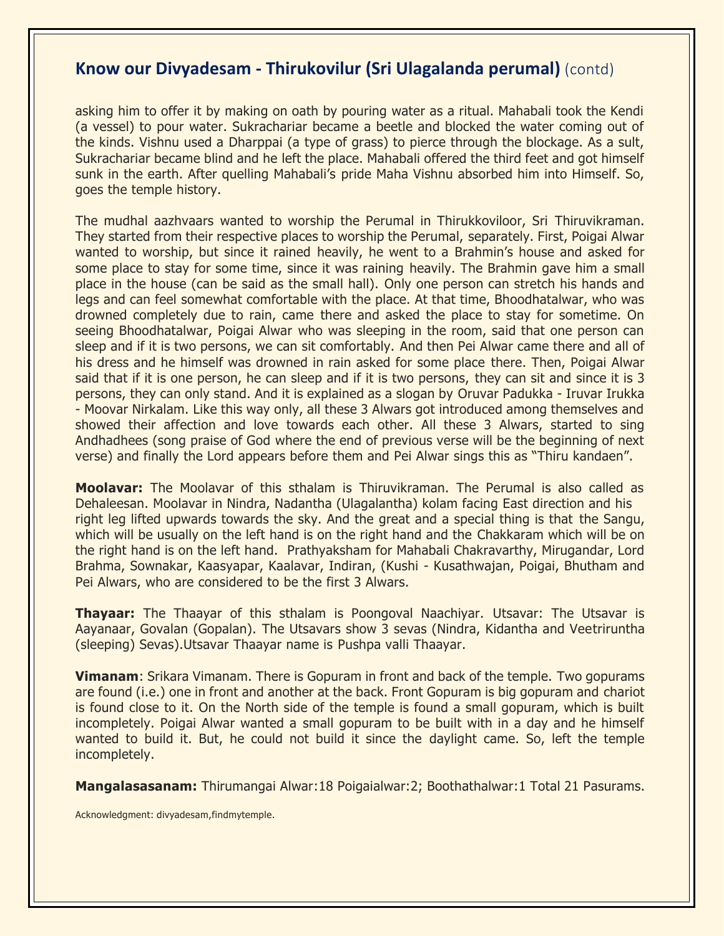### **Know our Divyadesam - Thirukovilur (Sri Ulagalanda perumal)** (contd)

asking him to offer it by making on oath by pouring water as a ritual. Mahabali took the Kendi (a vessel) to pour water. Sukrachariar became a beetle and blocked the water coming out of the kinds. Vishnu used a Dharppai (a type of grass) to pierce through the blockage. As a sult, Sukrachariar became blind and he left the place. Mahabali offered the third feet and got himself sunk in the earth. After quelling Mahabali's pride Maha Vishnu absorbed him into Himself. So, goes the temple history.

The mudhal aazhvaars wanted to worship the Perumal in Thirukkoviloor, Sri Thiruvikraman. They started from their respective places to worship the Perumal, separately. First, Poigai Alwar wanted to worship, but since it rained heavily, he went to a Brahmin's house and asked for some place to stay for some time, since it was raining heavily. The Brahmin gave him a small place in the house (can be said as the small hall). Only one person can stretch his hands and legs and can feel somewhat comfortable with the place. At that time, Bhoodhatalwar, who was drowned completely due to rain, came there and asked the place to stay for sometime. On seeing Bhoodhatalwar, Poigai Alwar who was sleeping in the room, said that one person can sleep and if it is two persons, we can sit comfortably. And then Pei Alwar came there and all of his dress and he himself was drowned in rain asked for some place there. Then, Poigai Alwar said that if it is one person, he can sleep and if it is two persons, they can sit and since it is 3 persons, they can only stand. And it is explained as a slogan by Oruvar Padukka - Iruvar Irukka - Moovar Nirkalam. Like this way only, all these 3 Alwars got introduced among themselves and showed their affection and love towards each other. All these 3 Alwars, started to sing Andhadhees (song praise of God where the end of previous verse will be the beginning of next verse) and finally the Lord appears before them and Pei Alwar sings this as "Thiru kandaen".

**Moolavar:** The Moolavar of this sthalam is Thiruvikraman. The Perumal is also called as Dehaleesan. Moolavar in Nindra, Nadantha (Ulagalantha) kolam facing East direction and his right leg lifted upwards towards the sky. And the great and a special thing is that the Sangu, which will be usually on the left hand is on the right hand and the Chakkaram which will be on the right hand is on the left hand. Prathyaksham for Mahabali Chakravarthy, Mirugandar, Lord Brahma, Sownakar, Kaasyapar, Kaalavar, Indiran, (Kushi - Kusathwajan, Poigai, Bhutham and Pei Alwars, who are considered to be the first 3 Alwars.

**Thayaar:** The Thaayar of this sthalam is Poongoval Naachiyar. Utsavar: The Utsavar is Aayanaar, Govalan (Gopalan). The Utsavars show 3 sevas (Nindra, Kidantha and Veetriruntha (sleeping) Sevas).Utsavar Thaayar name is Pushpa valli Thaayar.

**Vimanam**: Srikara Vimanam. There is Gopuram in front and back of the temple. Two gopurams are found (i.e.) one in front and another at the back. Front Gopuram is big gopuram and chariot is found close to it. On the North side of the temple is found a small gopuram, which is built incompletely. Poigai Alwar wanted a small gopuram to be built with in a day and he himself wanted to build it. But, he could not build it since the daylight came. So, left the temple incompletely.

**Mangalasasanam:** Thirumangai Alwar:18 Poigaialwar:2; Boothathalwar:1 Total 21 Pasurams.

Acknowledgment: divyadesam,findmytemple.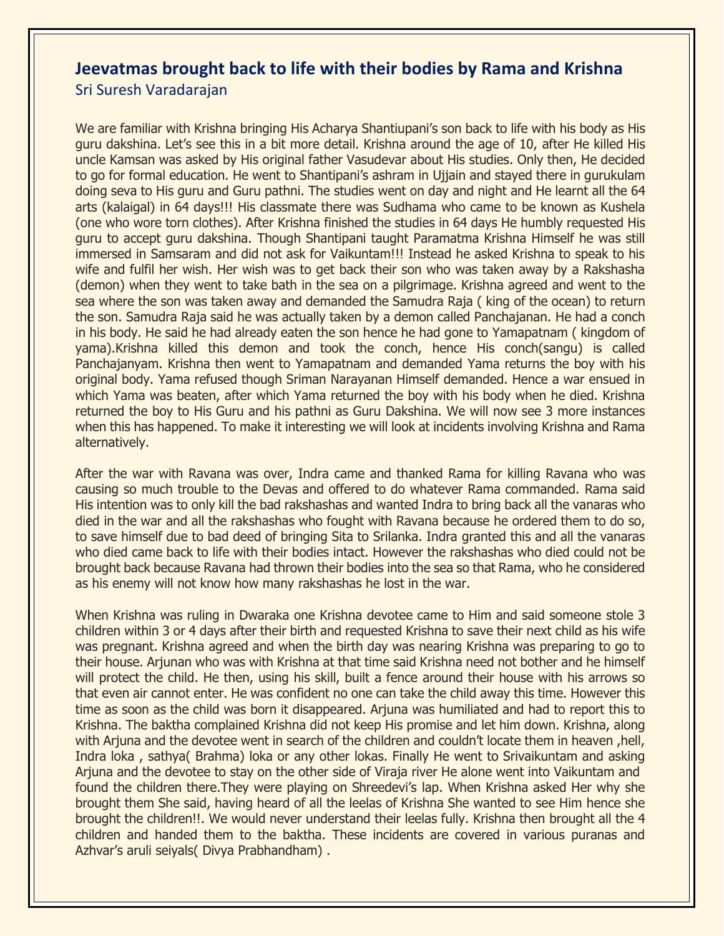### **Jeevatmas brought back to life with their bodies by Rama and Krishna**  Sri Suresh Varadarajan

We are familiar with Krishna bringing His Acharya Shantiupani's son back to life with his body as His guru dakshina. Let's see this in a bit more detail. Krishna around the age of 10, after He killed His uncle Kamsan was asked by His original father Vasudevar about His studies. Only then, He decided to go for formal education. He went to Shantipani's ashram in Ujjain and stayed there in gurukulam doing seva to His guru and Guru pathni. The studies went on day and night and He learnt all the 64 arts (kalaigal) in 64 days!!! His classmate there was Sudhama who came to be known as Kushela (one who wore torn clothes). After Krishna finished the studies in 64 days He humbly requested His guru to accept guru dakshina. Though Shantipani taught Paramatma Krishna Himself he was still immersed in Samsaram and did not ask for Vaikuntam!!! Instead he asked Krishna to speak to his wife and fulfil her wish. Her wish was to get back their son who was taken away by a Rakshasha (demon) when they went to take bath in the sea on a pilgrimage. Krishna agreed and went to the sea where the son was taken away and demanded the Samudra Raja ( king of the ocean) to return the son. Samudra Raja said he was actually taken by a demon called Panchajanan. He had a conch in his body. He said he had already eaten the son hence he had gone to Yamapatnam ( kingdom of yama).Krishna killed this demon and took the conch, hence His conch(sangu) is called Panchajanyam. Krishna then went to Yamapatnam and demanded Yama returns the boy with his original body. Yama refused though Sriman Narayanan Himself demanded. Hence a war ensued in which Yama was beaten, after which Yama returned the boy with his body when he died. Krishna returned the boy to His Guru and his pathni as Guru Dakshina. We will now see 3 more instances when this has happened. To make it interesting we will look at incidents involving Krishna and Rama alternatively.

After the war with Ravana was over, Indra came and thanked Rama for killing Ravana who was causing so much trouble to the Devas and offered to do whatever Rama commanded. Rama said His intention was to only kill the bad rakshashas and wanted Indra to bring back all the vanaras who died in the war and all the rakshashas who fought with Ravana because he ordered them to do so, to save himself due to bad deed of bringing Sita to Srilanka. Indra granted this and all the vanaras who died came back to life with their bodies intact. However the rakshashas who died could not be brought back because Ravana had thrown their bodies into the sea so that Rama, who he considered as his enemy will not know how many rakshashas he lost in the war.

When Krishna was ruling in Dwaraka one Krishna devotee came to Him and said someone stole 3 children within 3 or 4 days after their birth and requested Krishna to save their next child as his wife was pregnant. Krishna agreed and when the birth day was nearing Krishna was preparing to go to their house. Arjunan who was with Krishna at that time said Krishna need not bother and he himself will protect the child. He then, using his skill, built a fence around their house with his arrows so that even air cannot enter. He was confident no one can take the child away this time. However this time as soon as the child was born it disappeared. Arjuna was humiliated and had to report this to Krishna. The baktha complained Krishna did not keep His promise and let him down. Krishna, along with Arjuna and the devotee went in search of the children and couldn't locate them in heaven, hell, Indra loka , sathya( Brahma) loka or any other lokas. Finally He went to Srivaikuntam and asking Arjuna and the devotee to stay on the other side of Viraja river He alone went into Vaikuntam and found the children there.They were playing on Shreedevi's lap. When Krishna asked Her why she brought them She said, having heard of all the leelas of Krishna She wanted to see Him hence she brought the children!!. We would never understand their leelas fully. Krishna then brought all the 4 children and handed them to the baktha. These incidents are covered in various puranas and Azhvar's aruli seiyals( Divya Prabhandham) .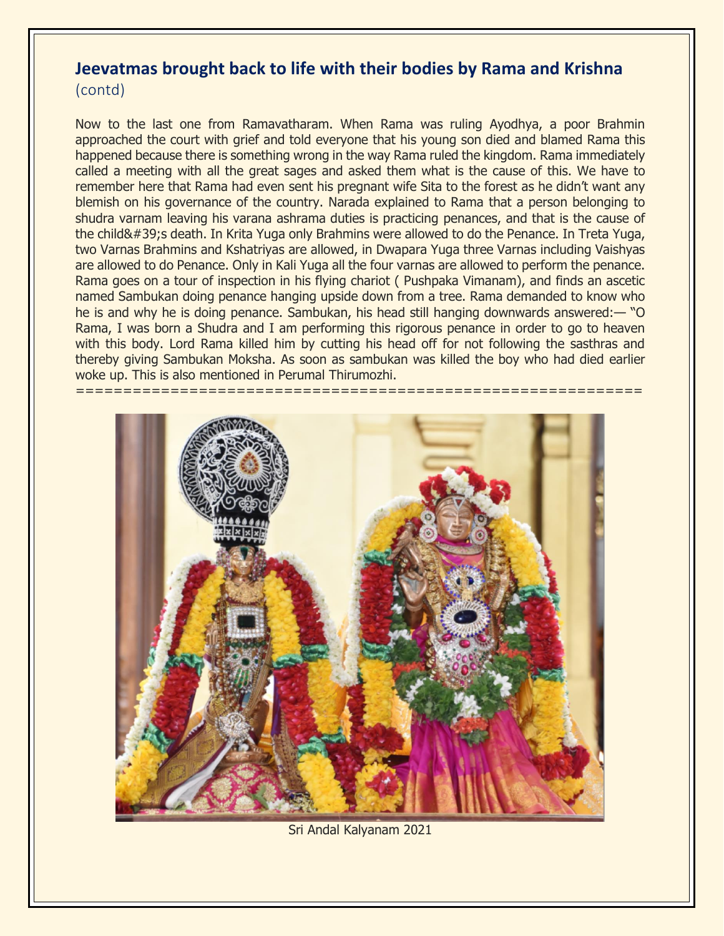### **Jeevatmas brought back to life with their bodies by Rama and Krishna**  (contd)

Now to the last one from Ramavatharam. When Rama was ruling Ayodhya, a poor Brahmin approached the court with grief and told everyone that his young son died and blamed Rama this happened because there is something wrong in the way Rama ruled the kingdom. Rama immediately called a meeting with all the great sages and asked them what is the cause of this. We have to remember here that Rama had even sent his pregnant wife Sita to the forest as he didn't want any blemish on his governance of the country. Narada explained to Rama that a person belonging to shudra varnam leaving his varana ashrama duties is practicing penances, and that is the cause of the child's death. In Krita Yuga only Brahmins were allowed to do the Penance. In Treta Yuga, two Varnas Brahmins and Kshatriyas are allowed, in Dwapara Yuga three Varnas including Vaishyas are allowed to do Penance. Only in Kali Yuga all the four varnas are allowed to perform the penance. Rama goes on a tour of inspection in his flying chariot ( Pushpaka Vimanam), and finds an ascetic named Sambukan doing penance hanging upside down from a tree. Rama demanded to know who he is and why he is doing penance. Sambukan, his head still hanging downwards answered:— "O Rama, I was born a Shudra and I am performing this rigorous penance in order to go to heaven with this body. Lord Rama killed him by cutting his head off for not following the sasthras and thereby giving Sambukan Moksha. As soon as sambukan was killed the boy who had died earlier woke up. This is also mentioned in Perumal Thirumozhi.

=================



Sri Andal Kalyanam 2021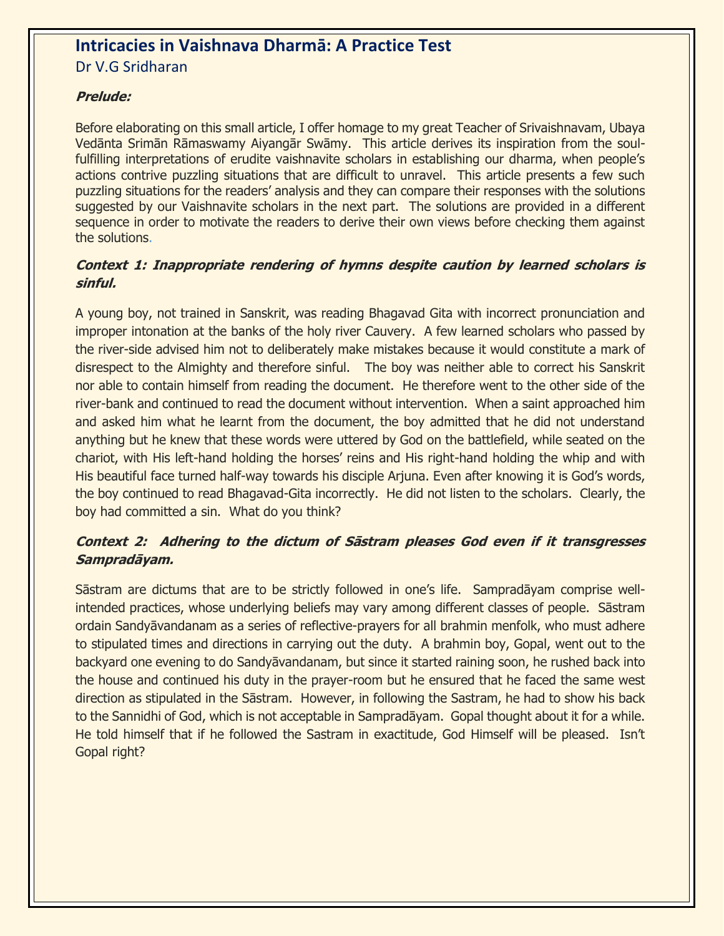### **Intricacies in Vaishnava Dharmā: A Practice Test** Dr V.G Sridharan

### **Prelude:**

Before elaborating on this small article, I offer homage to my great Teacher of Srivaishnavam, Ubaya Vedānta Srimān Rāmaswamy Aiyangār Swāmy. This article derives its inspiration from the soulfulfilling interpretations of erudite vaishnavite scholars in establishing our dharma, when people's actions contrive puzzling situations that are difficult to unravel. This article presents a few such puzzling situations for the readers' analysis and they can compare their responses with the solutions suggested by our Vaishnavite scholars in the next part. The solutions are provided in a different sequence in order to motivate the readers to derive their own views before checking them against the solutions.

#### **Context 1: Inappropriate rendering of hymns despite caution by learned scholars is sinful.**

A young boy, not trained in Sanskrit, was reading Bhagavad Gita with incorrect pronunciation and improper intonation at the banks of the holy river Cauvery. A few learned scholars who passed by the river-side advised him not to deliberately make mistakes because it would constitute a mark of disrespect to the Almighty and therefore sinful. The boy was neither able to correct his Sanskrit nor able to contain himself from reading the document. He therefore went to the other side of the river-bank and continued to read the document without intervention. When a saint approached him and asked him what he learnt from the document, the boy admitted that he did not understand anything but he knew that these words were uttered by God on the battlefield, while seated on the chariot, with His left-hand holding the horses' reins and His right-hand holding the whip and with His beautiful face turned half-way towards his disciple Arjuna. Even after knowing it is God's words, the boy continued to read Bhagavad-Gita incorrectly. He did not listen to the scholars. Clearly, the boy had committed a sin. What do you think?

### **Context 2: Adhering to the dictum of Sāstram pleases God even if it transgresses Sampradāyam.**

Sāstram are dictums that are to be strictly followed in one's life. Sampradāyam comprise wellintended practices, whose underlying beliefs may vary among different classes of people. Sāstram ordain Sandyāvandanam as a series of reflective-prayers for all brahmin menfolk, who must adhere to stipulated times and directions in carrying out the duty. A brahmin boy, Gopal, went out to the backyard one evening to do Sandyāvandanam, but since it started raining soon, he rushed back into the house and continued his duty in the prayer-room but he ensured that he faced the same west direction as stipulated in the Sāstram. However, in following the Sastram, he had to show his back to the Sannidhi of God, which is not acceptable in Sampradāyam. Gopal thought about it for a while. He told himself that if he followed the Sastram in exactitude, God Himself will be pleased. Isn't Gopal right?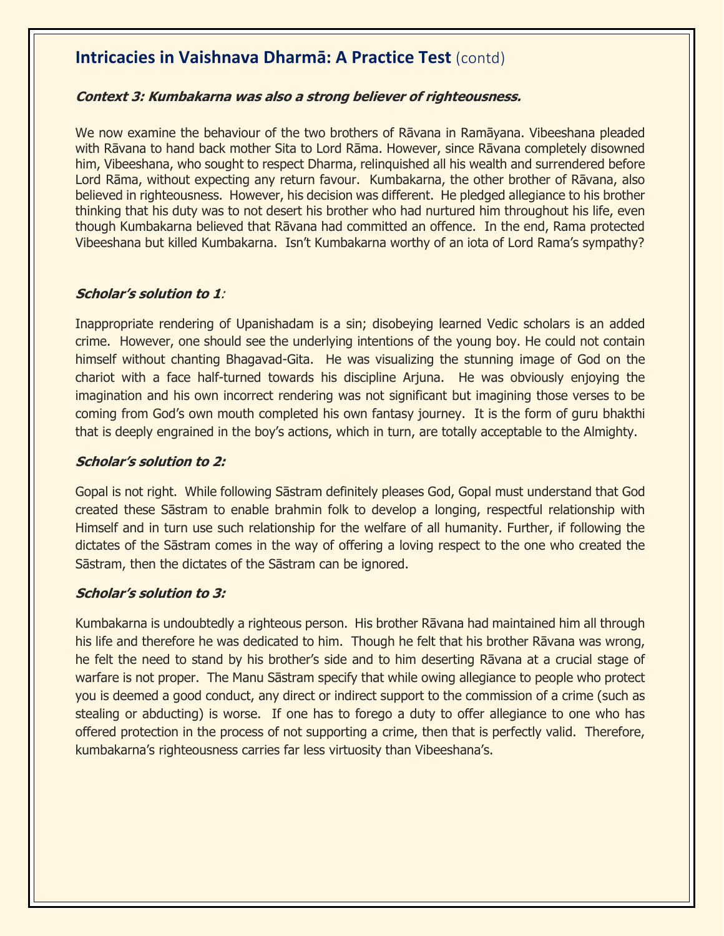### **Intricacies in Vaishnava Dharmā: A Practice Test** (contd)

#### **Context 3: Kumbakarna was also a strong believer of righteousness.**

We now examine the behaviour of the two brothers of Rāvana in Ramāyana. Vibeeshana pleaded with Rāvana to hand back mother Sita to Lord Rāma. However, since Rāvana completely disowned him, Vibeeshana, who sought to respect Dharma, relinquished all his wealth and surrendered before Lord Rāma, without expecting any return favour. Kumbakarna, the other brother of Rāvana, also believed in righteousness. However, his decision was different. He pledged allegiance to his brother thinking that his duty was to not desert his brother who had nurtured him throughout his life, even though Kumbakarna believed that Rāvana had committed an offence. In the end, Rama protected Vibeeshana but killed Kumbakarna. Isn't Kumbakarna worthy of an iota of Lord Rama's sympathy?

#### **Scholar's solution to 1**:

Inappropriate rendering of Upanishadam is a sin; disobeying learned Vedic scholars is an added crime. However, one should see the underlying intentions of the young boy. He could not contain himself without chanting Bhagavad-Gita. He was visualizing the stunning image of God on the chariot with a face half-turned towards his discipline Arjuna. He was obviously enjoying the imagination and his own incorrect rendering was not significant but imagining those verses to be coming from God's own mouth completed his own fantasy journey. It is the form of guru bhakthi that is deeply engrained in the boy's actions, which in turn, are totally acceptable to the Almighty.

#### **Scholar's solution to 2:**

Gopal is not right. While following Sāstram definitely pleases God, Gopal must understand that God created these Sāstram to enable brahmin folk to develop a longing, respectful relationship with Himself and in turn use such relationship for the welfare of all humanity. Further, if following the dictates of the Sāstram comes in the way of offering a loving respect to the one who created the Sāstram, then the dictates of the Sāstram can be ignored.

#### **Scholar's solution to 3:**

Kumbakarna is undoubtedly a righteous person. His brother Rāvana had maintained him all through his life and therefore he was dedicated to him. Though he felt that his brother Rāvana was wrong, he felt the need to stand by his brother's side and to him deserting Rāvana at a crucial stage of warfare is not proper. The Manu Sāstram specify that while owing allegiance to people who protect you is deemed a good conduct, any direct or indirect support to the commission of a crime (such as stealing or abducting) is worse. If one has to forego a duty to offer allegiance to one who has offered protection in the process of not supporting a crime, then that is perfectly valid. Therefore, kumbakarna's righteousness carries far less virtuosity than Vibeeshana's.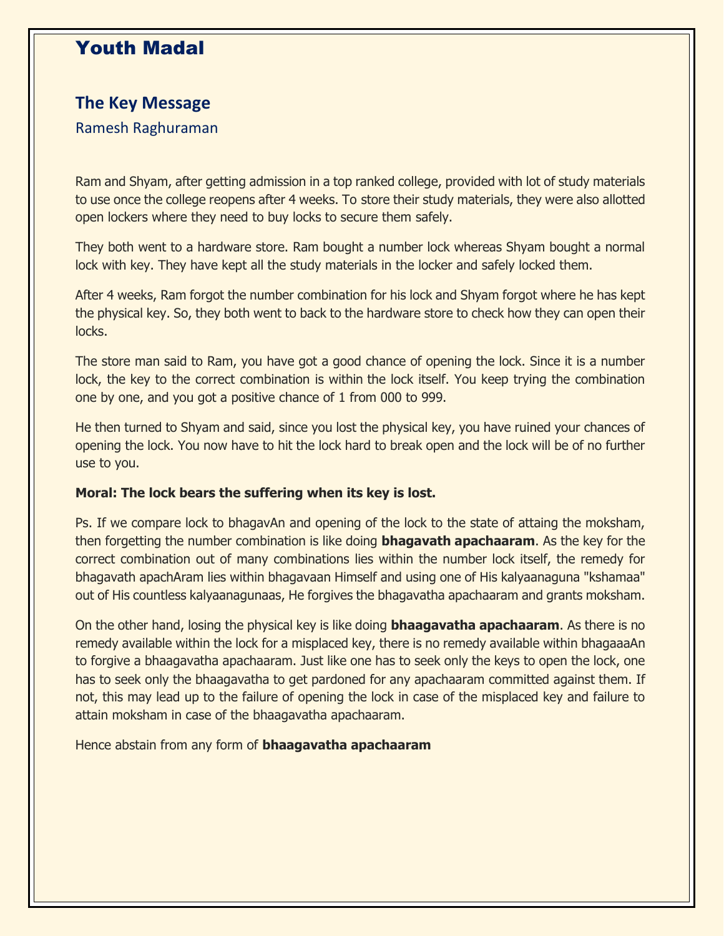# Youth Madal

### **The Key Message**

### Ramesh Raghuraman

Ram and Shyam, after getting admission in a top ranked college, provided with lot of study materials to use once the college reopens after 4 weeks. To store their study materials, they were also allotted open lockers where they need to buy locks to secure them safely.

They both went to a hardware store. Ram bought a number lock whereas Shyam bought a normal lock with key. They have kept all the study materials in the locker and safely locked them.

After 4 weeks, Ram forgot the number combination for his lock and Shyam forgot where he has kept the physical key. So, they both went to back to the hardware store to check how they can open their locks.

The store man said to Ram, you have got a good chance of opening the lock. Since it is a number lock, the key to the correct combination is within the lock itself. You keep trying the combination one by one, and you got a positive chance of 1 from 000 to 999.

He then turned to Shyam and said, since you lost the physical key, you have ruined your chances of opening the lock. You now have to hit the lock hard to break open and the lock will be of no further use to you.

#### **Moral: The lock bears the suffering when its key is lost.**

Ps. If we compare lock to bhagavAn and opening of the lock to the state of attaing the moksham, then forgetting the number combination is like doing **bhagavath apachaaram**. As the key for the correct combination out of many combinations lies within the number lock itself, the remedy for bhagavath apachAram lies within bhagavaan Himself and using one of His kalyaanaguna "kshamaa" out of His countless kalyaanagunaas, He forgives the bhagavatha apachaaram and grants moksham.

On the other hand, losing the physical key is like doing **bhaagavatha apachaaram**. As there is no remedy available within the lock for a misplaced key, there is no remedy available within bhagaaaAn to forgive a bhaagavatha apachaaram. Just like one has to seek only the keys to open the lock, one has to seek only the bhaagavatha to get pardoned for any apachaaram committed against them. If not, this may lead up to the failure of opening the lock in case of the misplaced key and failure to attain moksham in case of the bhaagavatha apachaaram.

Hence abstain from any form of **bhaagavatha apachaaram**